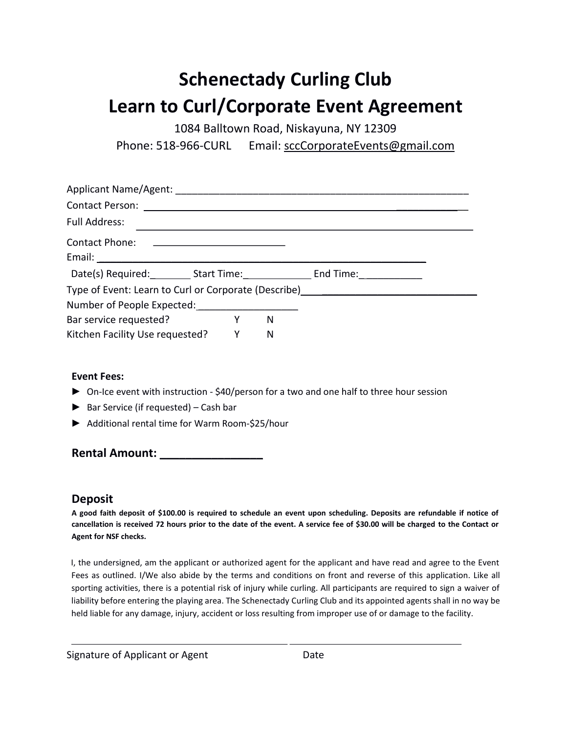## **Schenectady Curling Club Learn to Curl/Corporate Event Agreement**

1084 Balltown Road, Niskayuna, NY 12309

Phone: 518-966-CURL Email: sccCorporateEvents@gmail.com

| Full Address:                                         |                     |  |  |  |
|-------------------------------------------------------|---------------------|--|--|--|
| Contact Phone: <u>___________________________</u>     |                     |  |  |  |
|                                                       |                     |  |  |  |
|                                                       |                     |  |  |  |
| Type of Event: Learn to Curl or Corporate (Describe)  |                     |  |  |  |
| Number of People Expected: Number of People Expected: |                     |  |  |  |
| Bar service requested?                                | <b>Solution Y</b> N |  |  |  |
| Kitchen Facility Use requested? Y N                   |                     |  |  |  |

## **Event Fees:**

- ► On-Ice event with instruction \$40/person for a two and one half to three hour session
- ► Bar Service (if requested) Cash bar
- ► Additional rental time for Warm Room-\$25/hour

**Rental Amount:**  $\blacksquare$ 

## **Deposit**

**A good faith deposit of \$100.00 is required to schedule an event upon scheduling. Deposits are refundable if notice of cancellation is received 72 hours prior to the date of the event. A service fee of \$30.00 will be charged to the Contact or Agent for NSF checks.**

I, the undersigned, am the applicant or authorized agent for the applicant and have read and agree to the Event Fees as outlined. I/We also abide by the terms and conditions on front and reverse of this application. Like all sporting activities, there is a potential risk of injury while curling. All participants are required to sign a waiver of liability before entering the playing area. The Schenectady Curling Club and its appointed agents shall in no way be held liable for any damage, injury, accident or loss resulting from improper use of or damage to the facility.